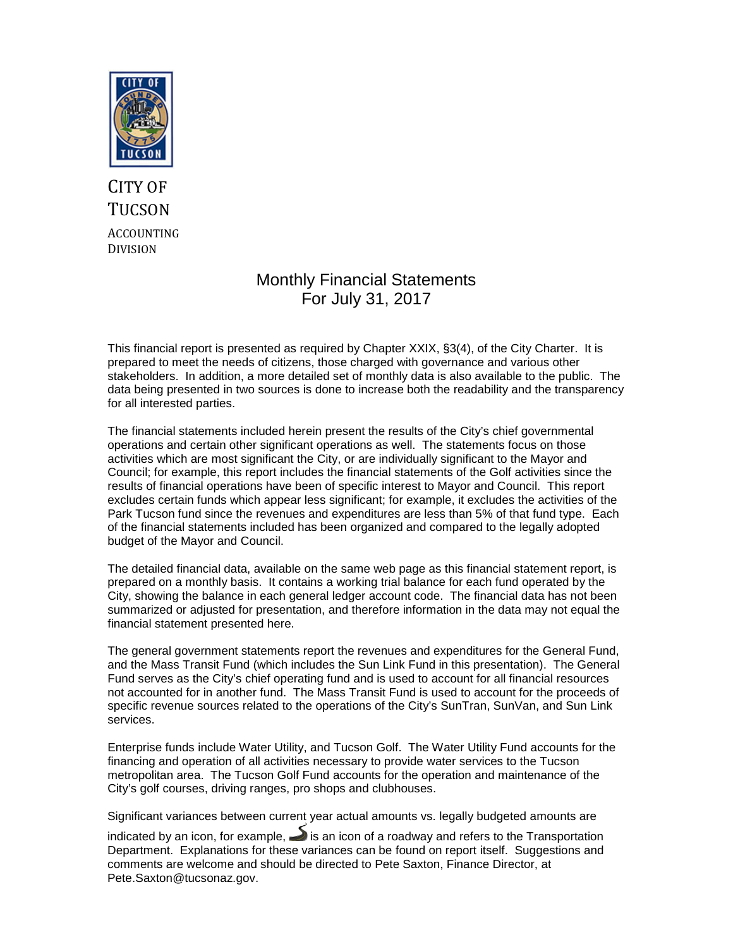

# CITY OF **TUCSON** ACCOUNTING DIVISION

# Monthly Financial Statements For July 31, 2017

This financial report is presented as required by Chapter XXIX, §3(4), of the City Charter. It is prepared to meet the needs of citizens, those charged with governance and various other stakeholders. In addition, a more detailed set of monthly data is also available to the public. The data being presented in two sources is done to increase both the readability and the transparency for all interested parties.

The financial statements included herein present the results of the City's chief governmental operations and certain other significant operations as well. The statements focus on those activities which are most significant the City, or are individually significant to the Mayor and Council; for example, this report includes the financial statements of the Golf activities since the results of financial operations have been of specific interest to Mayor and Council. This report excludes certain funds which appear less significant; for example, it excludes the activities of the Park Tucson fund since the revenues and expenditures are less than 5% of that fund type. Each of the financial statements included has been organized and compared to the legally adopted budget of the Mayor and Council.

The detailed financial data, available on the same web page as this financial statement report, is prepared on a monthly basis. It contains a working trial balance for each fund operated by the City, showing the balance in each general ledger account code. The financial data has not been summarized or adjusted for presentation, and therefore information in the data may not equal the financial statement presented here.

The general government statements report the revenues and expenditures for the General Fund, and the Mass Transit Fund (which includes the Sun Link Fund in this presentation). The General Fund serves as the City's chief operating fund and is used to account for all financial resources not accounted for in another fund. The Mass Transit Fund is used to account for the proceeds of specific revenue sources related to the operations of the City's SunTran, SunVan, and Sun Link services.

Enterprise funds include Water Utility, and Tucson Golf. The Water Utility Fund accounts for the financing and operation of all activities necessary to provide water services to the Tucson metropolitan area. The Tucson Golf Fund accounts for the operation and maintenance of the City's golf courses, driving ranges, pro shops and clubhouses.

Significant variances between current year actual amounts vs. legally budgeted amounts are

indicated by an icon, for example,  $\blacktriangleright$  is an icon of a roadway and refers to the Transportation Department. Explanations for these variances can be found on report itself. Suggestions and comments are welcome and should be directed to Pete Saxton, Finance Director, at Pete.Saxton@tucsonaz.gov.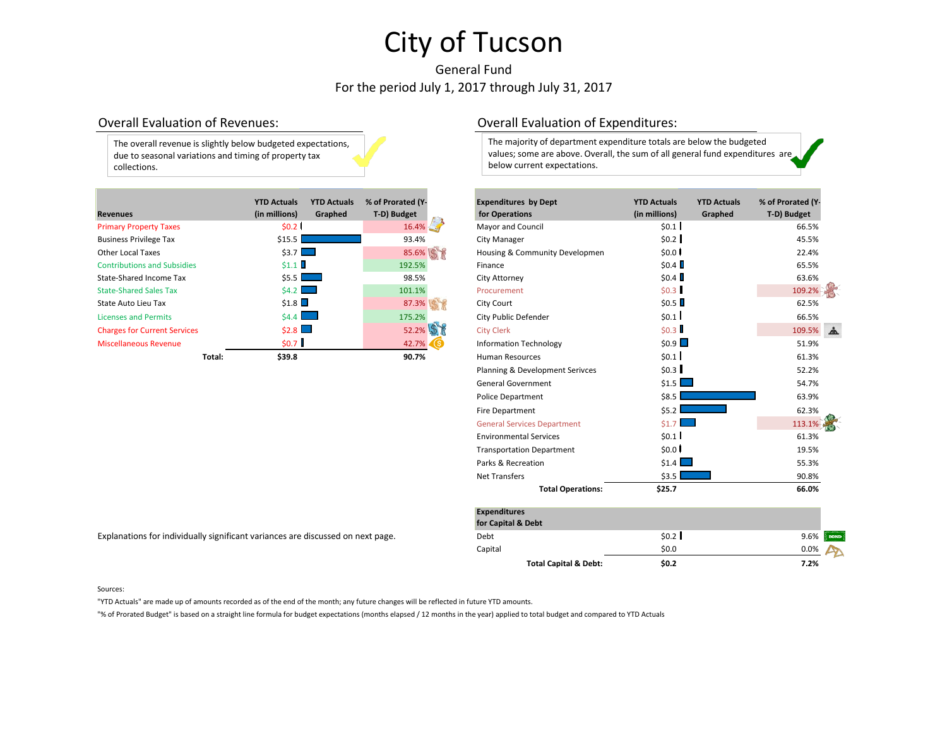# General Fund For the period July 1, 2017 through July 31, 2017



| <b>Revenues</b>                     | <b>YTD Actuals</b><br>(in millions) | <b>YTD Actuals</b><br>Graphed | % of Prorated (Y-<br>T-D) Budget | <b>Expenditures by Dept</b><br>for Operations | <b>YTD Actuals</b><br>(in millions) | <b>YTD Actuals</b><br>Graphed | % of Prorated (Y<br>T-D) Budget |
|-------------------------------------|-------------------------------------|-------------------------------|----------------------------------|-----------------------------------------------|-------------------------------------|-------------------------------|---------------------------------|
| <b>Primary Property Taxes</b>       | \$0.2                               |                               | 16.4%                            | <b>Mayor and Council</b>                      | \$0.1                               |                               | 66.5%                           |
| <b>Business Privilege Tax</b>       | \$15.5                              |                               | 93.4%                            | City Manager                                  | \$0.2                               |                               | 45.5%                           |
| <b>Other Local Taxes</b>            | $53.7$ $\Box$                       |                               | 85.6%                            | Housing & Community Developmen                | \$0.0                               |                               | 22.4%                           |
| <b>Contributions and Subsidies</b>  | \$1.1                               |                               | 192.5%                           | Finance                                       | \$0.4                               |                               | 65.5%                           |
| State-Shared Income Tax             | \$5.5                               | $\sim 100$                    | 98.5%                            | City Attorney                                 | \$0.4                               |                               | 63.6%                           |
| <b>State-Shared Sales Tax</b>       | 54.2                                |                               | 101.1%                           | Procurement                                   | \$0.3                               |                               | 109.2%                          |
| State Auto Lieu Tax                 | \$1.8                               |                               | 87.3%                            | City Court                                    | \$0.5                               |                               | 62.5%                           |
| <b>Licenses and Permits</b>         | $$4.4$ $\Box$                       |                               | 175.2%                           | City Public Defender                          | \$0.1                               |                               | 66.5%                           |
| <b>Charges for Current Services</b> | $$2.8$ $\Box$                       |                               | 52.2%                            | <b>City Clerk</b>                             | \$0.3                               |                               | 109.5%                          |
| <b>Miscellaneous Revenue</b>        | \$0.7                               |                               | $42.7\%$ (\$                     | <b>Information Technology</b>                 | \$0.9                               |                               | 51.9%                           |
| Total:                              | \$39.8                              |                               | 90.7%                            | <b>Human Resources</b>                        | \$0.1                               |                               | 61.3%                           |

## Overall Evaluation of Revenues: Overall Evaluation of Expenditures:

The majority of department expenditure totals are below the budgeted values; some are above. Overall, the sum of all general fund expenditures are below current expectations.

|        | <b>YTD Actuals</b><br>(in millions)                 | <b>YTD Actuals</b><br>Graphed | % of Prorated (Y-<br>T-D) Budget | <b>Expenditures by Dept</b><br>for Operations | <b>YTD Actuals</b><br>(in millions) | <b>YTD Actuals</b><br>Graphed | % of Prorated (Y-<br>T-D) Budget |             |  |
|--------|-----------------------------------------------------|-------------------------------|----------------------------------|-----------------------------------------------|-------------------------------------|-------------------------------|----------------------------------|-------------|--|
|        | \$0.2                                               |                               | 16.4%                            | Mayor and Council                             | \$0.1                               |                               | 66.5%                            |             |  |
|        | \$15.5                                              |                               | 93.4%                            | City Manager                                  | \$0.2                               |                               | 45.5%                            |             |  |
|        | \$3.7                                               |                               | 85.6% \$                         | Housing & Community Developmen                | \$0.0                               |                               | 22.4%                            |             |  |
|        | \$1.1                                               |                               | 192.5%                           | Finance                                       | \$0.4                               |                               | 65.5%                            |             |  |
|        | \$5.5                                               |                               | 98.5%                            | City Attorney                                 | \$0.4                               |                               | 63.6%                            |             |  |
|        | \$4.2                                               |                               | 101.1%                           | Procurement                                   | \$0.3                               |                               | 109.2%                           |             |  |
|        | \$1.8                                               |                               | 87.3%                            | City Court                                    | \$0.5                               |                               | 62.5%                            |             |  |
|        | \$4.4                                               |                               | 175.2%                           | City Public Defender                          | \$0.1                               |                               | 66.5%                            |             |  |
|        | \$2.8                                               |                               | 52.2%                            | <b>City Clerk</b>                             | \$0.3                               |                               | 109.5%                           |             |  |
|        | \$0.7                                               |                               | 42.7%                            | <b>Information Technology</b>                 | \$0.9                               |                               | 51.9%                            |             |  |
| Total: | \$39.8                                              |                               | 90.7%                            | <b>Human Resources</b>                        | \$0.1                               |                               | 61.3%                            |             |  |
|        |                                                     |                               |                                  | Planning & Development Serivces               | \$0.3                               |                               | 52.2%                            |             |  |
|        |                                                     |                               |                                  | <b>General Government</b>                     | \$1.5                               |                               | 54.7%                            |             |  |
|        |                                                     |                               |                                  | <b>Police Department</b>                      | \$8.5                               |                               | 63.9%                            |             |  |
|        |                                                     |                               |                                  | Fire Department                               | \$5.2                               |                               |                                  |             |  |
|        |                                                     |                               |                                  | <b>General Services Department</b>            | \$1.7                               |                               | 113.1%                           |             |  |
|        |                                                     |                               |                                  | <b>Environmental Services</b>                 | \$0.1                               |                               | 61.3%                            |             |  |
|        |                                                     |                               |                                  | <b>Transportation Department</b>              | \$0.0                               |                               | 19.5%                            |             |  |
|        |                                                     |                               |                                  | Parks & Recreation                            | \$1.4<br>$\sim 10$                  |                               | 55.3%                            |             |  |
|        |                                                     |                               |                                  | <b>Net Transfers</b>                          | \$3.5                               |                               | 90.8%                            |             |  |
|        |                                                     |                               | <b>Total Operations:</b>         | \$25.7                                        |                                     | 66.0%                         |                                  |             |  |
|        |                                                     |                               |                                  | <b>Expenditures</b><br>for Capital & Debt     |                                     |                               |                                  |             |  |
|        | y significant variances are discussed on next page. |                               |                                  | Debt                                          | \$0.2                               |                               | 9.6%                             | <b>DONE</b> |  |

 $\bullet$  Capital  $\bullet$  0.0%  $\bullet$  50.0  $\bullet$  0.0%  $\bullet$  0.0%

**Total Capital & Debt: \$0.2 7.2%**

Explanations for individually significant variances are discussed on next page.

#### Sources:

"YTD Actuals" are made up of amounts recorded as of the end of the month; any future changes will be reflected in future YTD amounts.

"% of Prorated Budget" is based on a straight line formula for budget expectations (months elapsed / 12 months in the year) applied to total budget and compared to YTD Actuals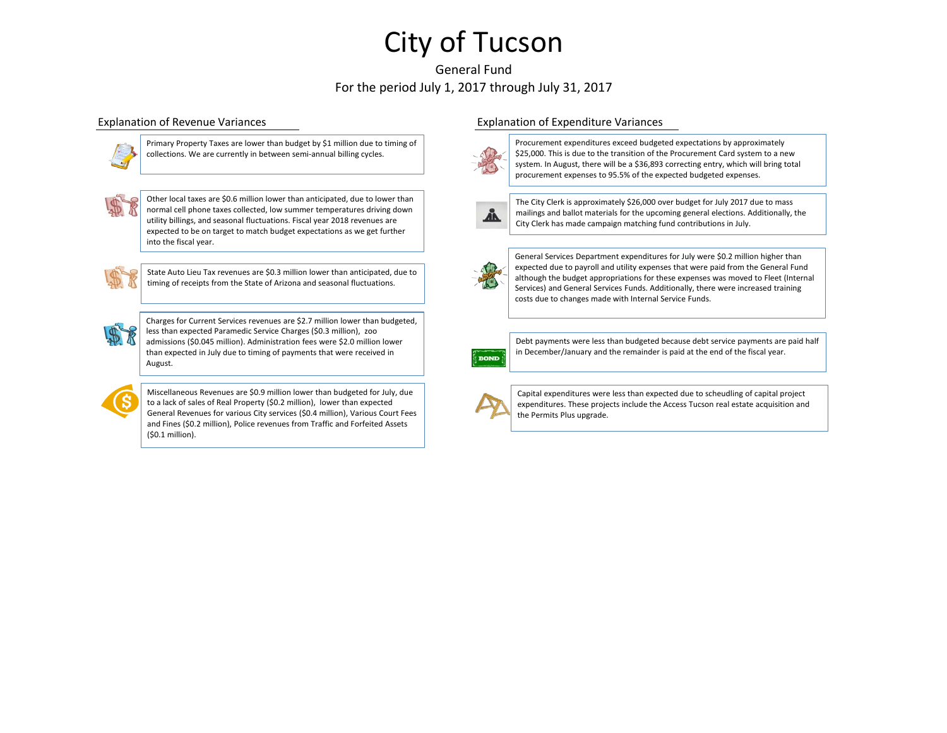# General Fund For the period July 1, 2017 through July 31, 2017



Primary Property Taxes are lower than budget by \$1 million due to timing of collections. We are currently in between semi-annual billing cycles.



Other local taxes are \$0.6 million lower than anticipated, due to lower than normal cell phone taxes collected, low summer temperatures driving down utility billings, and seasonal fluctuations. Fiscal year 2018 revenues are expected to be on target to match budget expectations as we get further into the fiscal year.

State Auto Lieu Tax revenues are \$0.3 million lower than anticipated, due to timing of receipts from the State of Arizona and seasonal fluctuations.



Charges for Current Services revenues are \$2.7 million lower than budgeted, less than expected Paramedic Service Charges (\$0.3 million), zoo admissions (\$0.045 million). Administration fees were \$2.0 million lower than expected in July due to timing of payments that were received in August.



Miscellaneous Revenues are \$0.9 million lower than budgeted for July, due to a lack of sales of Real Property (\$0.2 million), lower than expected General Revenues for various City services (\$0.4 million), Various Court Fees and Fines (\$0.2 million), Police revenues from Traffic and Forfeited Assets (\$0.1 million).

### Explanation of Revenue Variances Explanation of Expenditure Variances



Procurement expenditures exceed budgeted expectations by approximately \$25,000. This is due to the transition of the Procurement Card system to a new system. In August, there will be a \$36,893 correcting entry, which will bring total procurement expenses to 95.5% of the expected budgeted expenses.



The City Clerk is approximately \$26,000 over budget for July 2017 due to mass mailings and ballot materials for the upcoming general elections. Additionally, the City Clerk has made campaign matching fund contributions in July.



General Services Department expenditures for July were \$0.2 million higher than expected due to payroll and utility expenses that were paid from the General Fund although the budget appropriations for these expenses was moved to Fleet (Internal Services) and General Services Funds. Additionally, there were increased training costs due to changes made with Internal Service Funds.



Debt payments were less than budgeted because debt service payments are paid half in December/January and the remainder is paid at the end of the fiscal year.



Capital expenditures were less than expected due to scheudling of capital project expenditures. These projects include the Access Tucson real estate acquisition and the Permits Plus upgrade.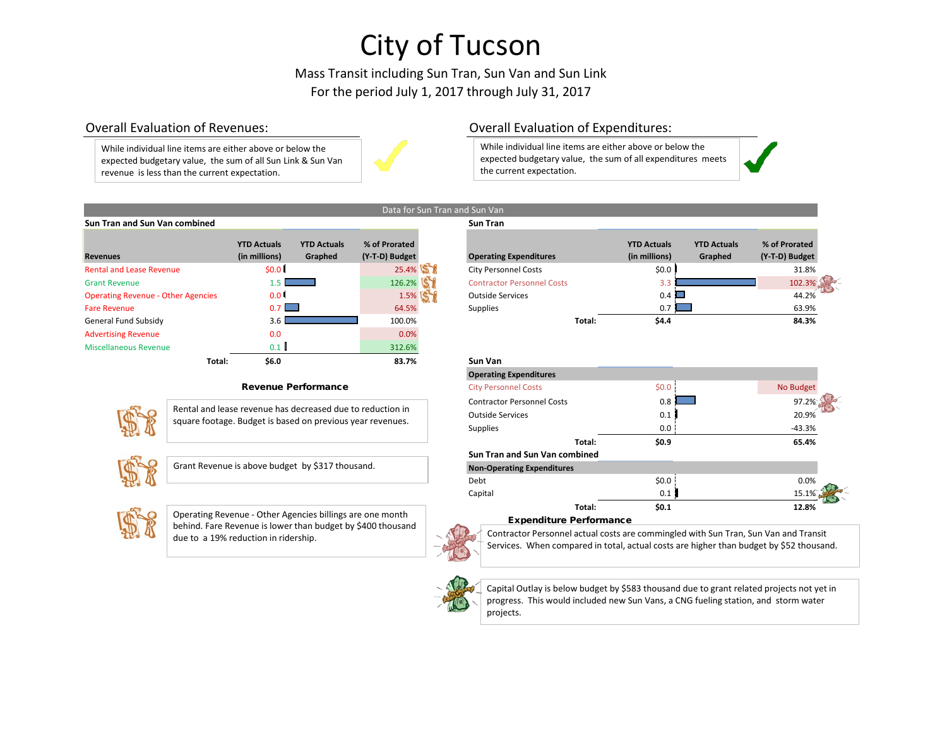Mass Transit including Sun Tran, Sun Van and Sun Link For the period July 1, 2017 through July 31, 2017

While individual line items are either above or below the expected budgetary value, the sum of all Sun Link & Sun Van revenue is less than the current expectation.



## Overall Evaluation of Revenues: Overall Evaluation of Expenditures:

While individual line items are either above or below the expected budgetary value, the sum of all expenditures meets the current expectation.

#### Data for Sun Tran and Sun Van **Sun Tran and Sun Van combined Sun Tran**

| <b>Revenues</b>                           | <b>YTD Actuals</b><br>(in millions) | <b>YTD Actuals</b><br>Graphed | % of Prorated<br>(Y-T-D) Budget | Operatin       |
|-------------------------------------------|-------------------------------------|-------------------------------|---------------------------------|----------------|
| <b>Rental and Lease Revenue</b>           | \$0.0 <sub>1</sub>                  |                               | 25.4%                           | City Pers      |
| <b>Grant Revenue</b>                      | 1.5 <sub>1</sub>                    |                               | 126.2%                          | Contract       |
| <b>Operating Revenue - Other Agencies</b> | 0.01                                |                               | 1.5%                            | Outside S      |
| <b>Fare Revenue</b>                       | 0.7                                 |                               | 64.5%                           | Supplies       |
| General Fund Subsidy                      | 3.6                                 |                               | 100.0%                          |                |
| <b>Advertising Revenue</b>                | 0.0                                 |                               | 0.0%                            |                |
| <b>Miscellaneous Revenue</b>              | 0.1                                 |                               | 312.6%                          |                |
| Total:                                    | \$6.0                               |                               | 83.7%                           | <b>Sun Van</b> |

#### Revenue Performance



Rental and lease revenue has decreased due to reduction in square footage. Budget is based on previous year revenues.



Grant Revenue is above budget by \$317 thousand.



Operating Revenue - Other Agencies billings are one month behind. Fare Revenue is lower than budget by \$400 thousand

|                                           | <b>YTD Actuals</b> | <b>YTD Actuals</b> | % of Prorated  |                                   | <b>YTD Actuals</b>   | <b>YTD Actuals</b> | % of Prorated  |
|-------------------------------------------|--------------------|--------------------|----------------|-----------------------------------|----------------------|--------------------|----------------|
| <b>Revenues</b>                           | (in millions)      | Graphed            | (Y-T-D) Budget | <b>Operating Expenditures</b>     | (in millions)        | Graphed            | (Y-T-D) Budget |
| <b>Rental and Lease Revenue</b>           | \$0.0              |                    | 25.4%          | <b>City Personnel Costs</b>       | \$0.0                |                    | 31.8%          |
| <b>Grant Revenue</b>                      |                    |                    | 126.2%         | <b>Contractor Personnel Costs</b> |                      |                    | $102.3\%$      |
| <b>Operating Revenue - Other Agencies</b> | 0.0                |                    | 1.5%           | <b>Outside Services</b>           | $0.4$ $\blacksquare$ |                    | 44.2%          |
| <b>Fare Revenue</b>                       | $0.7$ $\Box$       |                    | 64.5%          | <b>Supplies</b>                   | 0.71                 |                    | 63.9%          |
| General Fund Subsidy                      |                    |                    | 100.0%         | Total:                            | \$4.4                |                    | 84.3%          |
|                                           |                    |                    |                |                                   |                      |                    |                |

| Sun Van                           |       |           |
|-----------------------------------|-------|-----------|
| <b>Operating Expenditures</b>     |       |           |
| <b>City Personnel Costs</b>       | \$0.0 | No Budget |
| <b>Contractor Personnel Costs</b> | 0.8   | 97.2%     |
| <b>Outside Services</b>           | 0.1   | 20.9%     |
| <b>Supplies</b>                   | 0.0   | $-43.3%$  |
| Total:                            | \$0.9 | 65.4%     |
| Sun Tran and Sun Van combined     |       |           |
| <b>Non-Operating Expenditures</b> |       |           |
| Debt                              | \$0.0 | 0.0%      |
| Capital                           | 0.1   | 15.1%     |
| Total:                            | \$0.1 | 12.8%     |
| Evnanditura Darformanca           |       |           |

#### Expenditure Performance

due to a 19% reduction in ridership. The contractor Personnel actual costs are commingled with Sun Tran, Sun Van and Transit Services. When compared in total, actual costs are higher than budget by \$52 thousand.



Capital Outlay is below budget by \$583 thousand due to grant related projects not yet in progress. This would included new Sun Vans, a CNG fueling station, and storm water projects.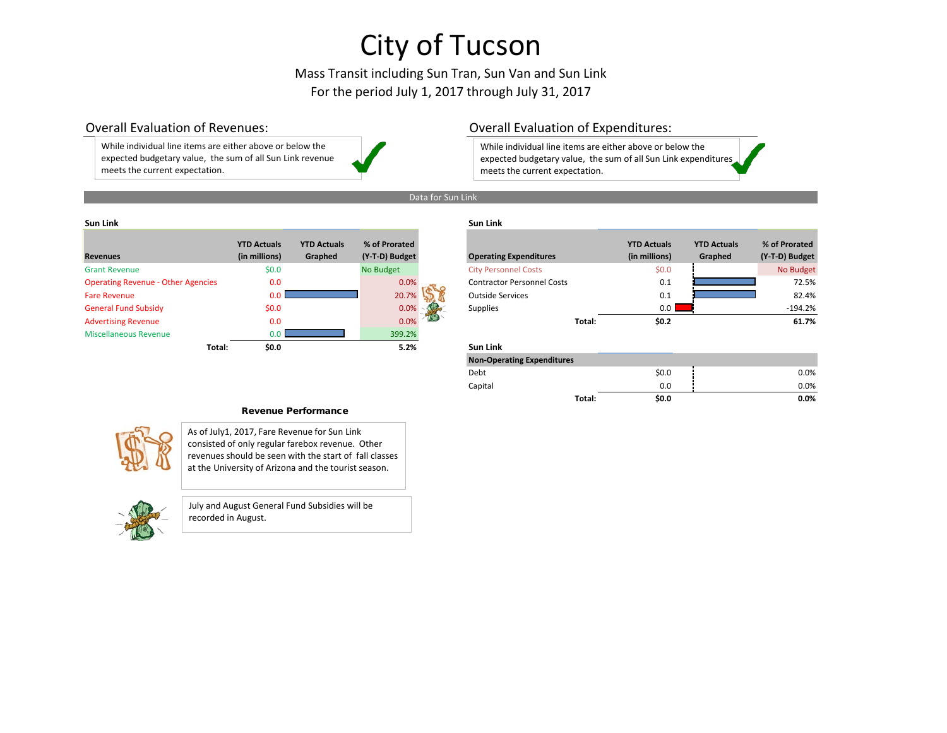## Mass Transit including Sun Tran, Sun Van and Sun Link For the period July 1, 2017 through July 31, 2017

While individual line items are either above or below the expected budgetary value, the sum of all Sun Link revenue meets the current expectation.

## Overall Evaluation of Revenues: Overall Evaluation of Expenditures:

While individual line items are either above or below the expected budgetary value, the sum of all Sun Link expenditures meets the current expectation.

### Data for Sun Link

### **Sun Link Sun Link**

| <b>Revenues</b>                           | <b>YTD Actuals</b><br>(in millions) | <b>YTD Actuals</b><br>Graphed | % of Prorated<br>(Y-T-D) Budget | <b>Operating Expenditures</b>     |        | <b>YTD Actuals</b><br>(in millions) | <b>YTD Actuals</b><br>Graphed | % of Prorated<br>(Y-T-D) Budget |
|-------------------------------------------|-------------------------------------|-------------------------------|---------------------------------|-----------------------------------|--------|-------------------------------------|-------------------------------|---------------------------------|
| <b>Grant Revenue</b>                      | \$0.0\$                             |                               | No Budget                       | <b>City Personnel Costs</b>       |        | \$0.0\$                             |                               | No Budget                       |
| <b>Operating Revenue - Other Agencies</b> | 0.0                                 |                               | 0.0%                            | <b>Contractor Personnel Costs</b> |        | 0.1                                 |                               | 72.5%                           |
| <b>Fare Revenue</b>                       | 0.O                                 |                               | 20.7%                           | <b>Outside Services</b>           |        | 0.1                                 |                               | 82.4%                           |
| <b>General Fund Subsidy</b>               | \$0.0\$                             |                               | 0.0%                            | <b>Supplies</b>                   |        | 0.0                                 |                               | $-194.2%$                       |
| <b>Advertising Revenue</b>                | 0.0                                 |                               | 0.0%                            |                                   | Total: | \$0.2\$                             |                               | 61.7%                           |
| <b>Miscellaneous Revenue</b>              | 0.0                                 |                               | 399.2%                          |                                   |        |                                     |                               |                                 |
| Total:                                    | \$0.0                               |                               | 5.2%                            | Sun Link                          |        |                                     |                               |                                 |

| % of Prorated<br>(Y-T-D) Budget | <b>Operating Expenditures</b>     |        | <b>YTD Actuals</b><br>(in millions) | <b>YTD Actuals</b><br>Graphed | % of Prorated<br>(Y-T-D) Budget |
|---------------------------------|-----------------------------------|--------|-------------------------------------|-------------------------------|---------------------------------|
| No Budget                       | <b>City Personnel Costs</b>       |        | \$0.0                               |                               | No Budget                       |
| 0.0%                            | <b>Contractor Personnel Costs</b> |        | 0.1                                 |                               | 72.5%                           |
| 20.7%                           | <b>Outside Services</b>           |        | 0.1                                 |                               | 82.4%                           |
| 0.0%                            | <b>Supplies</b>                   |        | 0.0                                 |                               | $-194.2%$                       |
| 0.0%                            |                                   | Total: | \$0.2                               |                               | 61.7%                           |

### **Total: \$0.0 5.2% Sun Link**

| <b>Non-Operating Expenditures</b> |                 |         |
|-----------------------------------|-----------------|---------|
| Debt                              | \$0.0           | 0.0%    |
| Capital                           | 0.0             | 0.0%    |
|                                   | \$0.0<br>Total: | $0.0\%$ |

#### Revenue Performance



As of July1, 2017, Fare Revenue for Sun Link consisted of only regular farebox revenue. Other revenues should be seen with the start of fall classes at the University of Arizona and the tourist season.



July and August General Fund Subsidies will be recorded in August.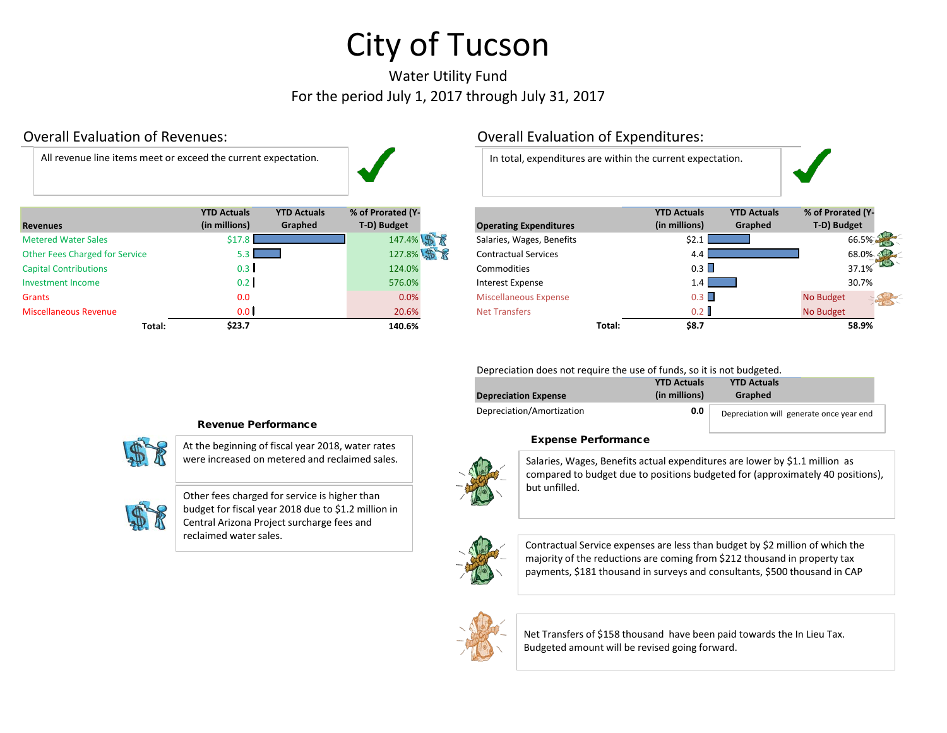# Water Utility Fund For the period July 1, 2017 through July 31, 2017

All revenue line items meet or exceed the current expectation. In total, expenditures are within the current expectation.



| <b>Revenues</b>                       | <b>YTD Actuals</b><br>(in millions) | <b>YTD Actuals</b><br>Graphed | % of Prorated (Y-<br>T-D) Budget | <b>Operating Expenditures</b> |        | <b>YTD Actuals</b><br>(in millions) | <b>YTD Actuals</b><br>Graphed | % of Prorated (Y<br>T-D) Budget |
|---------------------------------------|-------------------------------------|-------------------------------|----------------------------------|-------------------------------|--------|-------------------------------------|-------------------------------|---------------------------------|
| <b>Metered Water Sales</b>            | Ś17                                 |                               | 147.4% \$                        | Salaries, Wages, Benefits     |        |                                     |                               | 66.5%                           |
| <b>Other Fees Charged for Service</b> | $5.3$ $\blacksquare$                |                               | 127.8%                           | <b>Contractual Services</b>   |        |                                     |                               | 68.0%                           |
| <b>Capital Contributions</b>          | 0.3 <sub>1</sub>                    |                               | 124.0%                           | <b>Commodities</b>            |        | 0.3                                 |                               | 37.1%                           |
| Investment Income                     | 0.2                                 |                               | 576.0%                           | Interest Expense              |        | 1.4 I                               |                               | 30.7%                           |
| <b>Grants</b>                         | 0.0                                 |                               | 0.0%                             | <b>Miscellaneous Expense</b>  |        | 0.3                                 |                               | No Budget                       |
| <b>Miscellaneous Revenue</b>          | 0.0 <sub>1</sub>                    |                               | 20.6%                            | <b>Net Transfers</b>          |        | 0.2                                 |                               | No Budget                       |
| Total:                                | \$23.7                              |                               | 140.6%                           |                               | Total: | \$8.7                               |                               | 58.9%                           |

# Overall Evaluation of Revenues: Overall Evaluation of Expenditures:



Depreciation does not require the use of funds, so it is not budgeted.

| <b>Depreciation Expense</b> | <b>YTD Actuals</b><br>(in millions) | <b>YTD Actuals</b><br>Graphed            |
|-----------------------------|-------------------------------------|------------------------------------------|
| Depreciation/Amortization   | 0.0                                 | Depreciation will generate once year end |

### Expense Performance

were increased on metered and reclaimed sales. Salaries, Wages, Benefits actual expenditures are lower by \$1.1 million as compared to budget due to positions budgeted for (approximately 40 positions), but unfilled.



Contractual Service expenses are less than budget by \$2 million of which the majority of the reductions are coming from \$212 thousand in property tax payments, \$181 thousand in surveys and consultants, \$500 thousand in CAP



Net Transfers of \$158 thousand have been paid towards the In Lieu Tax. Budgeted amount will be revised going forward.

# Revenue Performance

At the beginning of fiscal year 2018, water rates



Other fees charged for service is higher than budget for fiscal year 2018 due to \$1.2 million in Central Arizona Project surcharge fees and reclaimed water sales.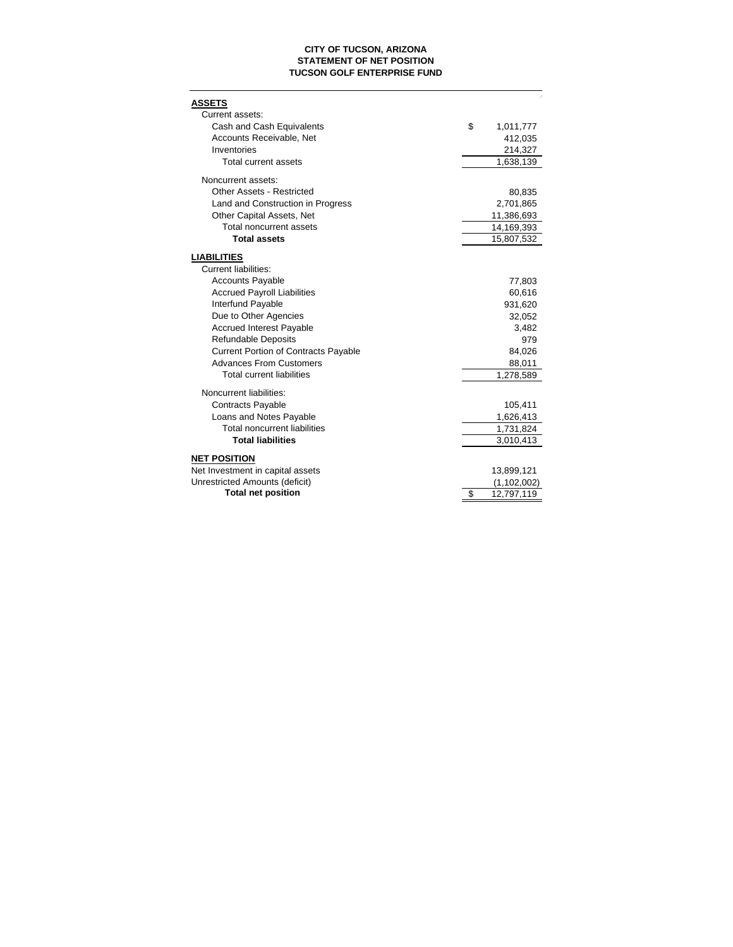### **CITY OF TUCSON, ARIZONA STATEMENT OF NET POSITION TUCSON GOLF ENTERPRISE FUND**

| <b>ASSETS</b><br>Current assets:            |                  |
|---------------------------------------------|------------------|
| Cash and Cash Equivalents                   | \$<br>1,011,777  |
| Accounts Receivable, Net                    | 412,035          |
| Inventories                                 | 214,327          |
| Total current assets                        | 1,638,139        |
| Noncurrent assets:                          |                  |
| <b>Other Assets - Restricted</b>            | 80,835           |
| Land and Construction in Progress           | 2,701,865        |
| Other Capital Assets, Net                   | 11,386,693       |
| Total noncurrent assets                     | 14,169,393       |
| <b>Total assets</b>                         | 15,807,532       |
| <b>LIABILITIES</b>                          |                  |
| <b>Current liabilities:</b>                 |                  |
| <b>Accounts Payable</b>                     | 77,803           |
| <b>Accrued Payroll Liabilities</b>          | 60,616           |
| <b>Interfund Payable</b>                    | 931.620          |
| Due to Other Agencies                       | 32,052           |
| <b>Accrued Interest Payable</b>             | 3,482            |
| <b>Refundable Deposits</b>                  | 979              |
| <b>Current Portion of Contracts Payable</b> | 84,026           |
| <b>Advances From Customers</b>              | 88,011           |
| <b>Total current liabilities</b>            | 1,278,589        |
| Noncurrent liabilities:                     |                  |
| <b>Contracts Payable</b>                    | 105,411          |
| Loans and Notes Payable                     | 1,626,413        |
| <b>Total noncurrent liabilities</b>         | 1,731,824        |
| <b>Total liabilities</b>                    | 3,010,413        |
| <b>NET POSITION</b>                         |                  |
| Net Investment in capital assets            | 13,899,121       |
| Unrestricted Amounts (deficit)              | (1,102,002)      |
| <b>Total net position</b>                   | \$<br>12,797,119 |